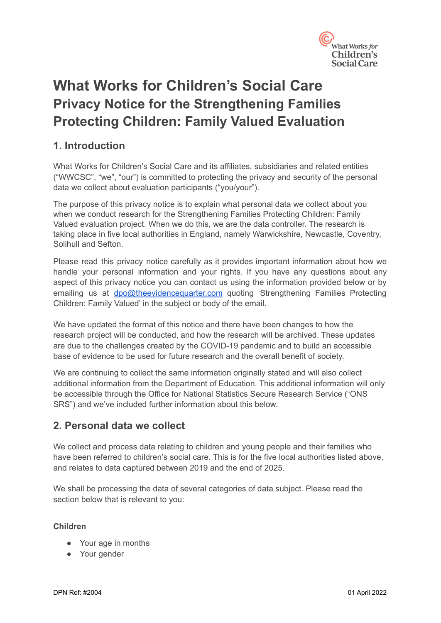

# **What Works for Children's Social Care Privacy Notice for the Strengthening Families Protecting Children: Family Valued Evaluation**

# **1. Introduction**

What Works for Children's Social Care and its affiliates, subsidiaries and related entities ("WWCSC", "we", "our") is committed to protecting the privacy and security of the personal data we collect about evaluation participants ("you/your").

The purpose of this privacy notice is to explain what personal data we collect about you when we conduct research for the Strengthening Families Protecting Children: Family Valued evaluation project. When we do this, we are the data controller. The research is taking place in five local authorities in England, namely Warwickshire, Newcastle, Coventry, Solihull and Sefton.

Please read this privacy notice carefully as it provides important information about how we handle your personal information and your rights. If you have any questions about any aspect of this privacy notice you can contact us using the information provided below or by emailing us at [dpo@theevidencequarter.com](mailto:dpo@theevidencequarter.com) quoting 'Strengthening Families Protecting Children: Family Valued' in the subject or body of the email.

We have updated the format of this notice and there have been changes to how the research project will be conducted, and how the research will be archived. These updates are due to the challenges created by the COVID-19 pandemic and to build an accessible base of evidence to be used for future research and the overall benefit of society.

We are continuing to collect the same information originally stated and will also collect additional information from the Department of Education. This additional information will only be accessible through the Office for National Statistics Secure Research Service ("ONS SRS") and we've included further information about this below.

# **2. Personal data we collect**

We collect and process data relating to children and young people and their families who have been referred to children's social care. This is for the five local authorities listed above, and relates to data captured between 2019 and the end of 2025.

We shall be processing the data of several categories of data subject. Please read the section below that is relevant to you:

#### **Children**

- Your age in months
- Your gender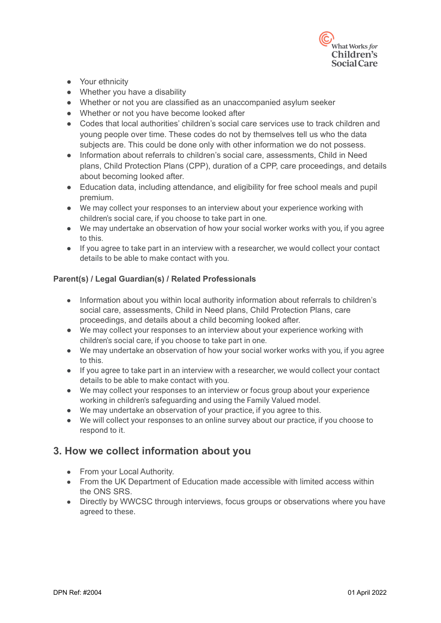

- Your ethnicity
- Whether you have a disability
- Whether or not you are classified as an unaccompanied asylum seeker
- Whether or not you have become looked after
- Codes that local authorities' children's social care services use to track children and young people over time. These codes do not by themselves tell us who the data subjects are. This could be done only with other information we do not possess.
- Information about referrals to children's social care, assessments, Child in Need plans, Child Protection Plans (CPP), duration of a CPP, care proceedings, and details about becoming looked after.
- Education data, including attendance, and eligibility for free school meals and pupil premium.
- We may collect your responses to an interview about your experience working with children's social care, if you choose to take part in one.
- We may undertake an observation of how your social worker works with you, if you agree to this.
- If you agree to take part in an interview with a researcher, we would collect your contact details to be able to make contact with you.

#### **Parent(s) / Legal Guardian(s) / Related Professionals**

- Information about you within local authority information about referrals to children's social care, assessments, Child in Need plans, Child Protection Plans, care proceedings, and details about a child becoming looked after.
- We may collect your responses to an interview about your experience working with children's social care, if you choose to take part in one.
- We may undertake an observation of how your social worker works with you, if you agree to this.
- If you agree to take part in an interview with a researcher, we would collect your contact details to be able to make contact with you.
- We may collect your responses to an interview or focus group about your experience working in children's safeguarding and using the Family Valued model.
- We may undertake an observation of your practice, if you agree to this.
- We will collect your responses to an online survey about our practice, if you choose to respond to it.

#### **3. How we collect information about you**

- From your Local Authority.
- From the UK Department of Education made accessible with limited access within the ONS SRS.
- Directly by WWCSC through interviews, focus groups or observations where you have agreed to these.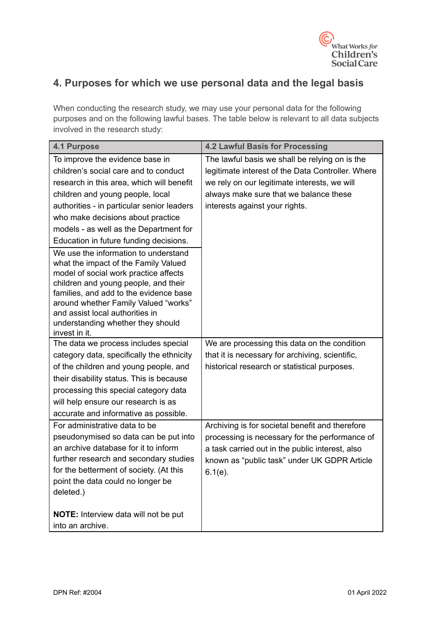

# **4. Purposes for which we use personal data and the legal basis**

When conducting the research study, we may use your personal data for the following purposes and on the following lawful bases. The table below is relevant to all data subjects involved in the research study:

| <b>4.1 Purpose</b>                                                                                                                                                                                                                                                                                                                       | <b>4.2 Lawful Basis for Processing</b>                                                                                                                                                                             |
|------------------------------------------------------------------------------------------------------------------------------------------------------------------------------------------------------------------------------------------------------------------------------------------------------------------------------------------|--------------------------------------------------------------------------------------------------------------------------------------------------------------------------------------------------------------------|
| To improve the evidence base in                                                                                                                                                                                                                                                                                                          | The lawful basis we shall be relying on is the                                                                                                                                                                     |
| children's social care and to conduct                                                                                                                                                                                                                                                                                                    | legitimate interest of the Data Controller. Where                                                                                                                                                                  |
| research in this area, which will benefit                                                                                                                                                                                                                                                                                                | we rely on our legitimate interests, we will                                                                                                                                                                       |
| children and young people, local                                                                                                                                                                                                                                                                                                         | always make sure that we balance these                                                                                                                                                                             |
| authorities - in particular senior leaders                                                                                                                                                                                                                                                                                               | interests against your rights.                                                                                                                                                                                     |
| who make decisions about practice                                                                                                                                                                                                                                                                                                        |                                                                                                                                                                                                                    |
| models - as well as the Department for                                                                                                                                                                                                                                                                                                   |                                                                                                                                                                                                                    |
| Education in future funding decisions.                                                                                                                                                                                                                                                                                                   |                                                                                                                                                                                                                    |
| We use the information to understand<br>what the impact of the Family Valued<br>model of social work practice affects<br>children and young people, and their<br>families, and add to the evidence base<br>around whether Family Valued "works"<br>and assist local authorities in<br>understanding whether they should<br>invest in it. |                                                                                                                                                                                                                    |
| The data we process includes special                                                                                                                                                                                                                                                                                                     | We are processing this data on the condition                                                                                                                                                                       |
| category data, specifically the ethnicity                                                                                                                                                                                                                                                                                                | that it is necessary for archiving, scientific,                                                                                                                                                                    |
| of the children and young people, and                                                                                                                                                                                                                                                                                                    | historical research or statistical purposes.                                                                                                                                                                       |
| their disability status. This is because                                                                                                                                                                                                                                                                                                 |                                                                                                                                                                                                                    |
| processing this special category data                                                                                                                                                                                                                                                                                                    |                                                                                                                                                                                                                    |
| will help ensure our research is as                                                                                                                                                                                                                                                                                                      |                                                                                                                                                                                                                    |
| accurate and informative as possible.                                                                                                                                                                                                                                                                                                    |                                                                                                                                                                                                                    |
| For administrative data to be<br>pseudonymised so data can be put into<br>an archive database for it to inform<br>further research and secondary studies<br>for the betterment of society. (At this<br>point the data could no longer be<br>deleted.)                                                                                    | Archiving is for societal benefit and therefore<br>processing is necessary for the performance of<br>a task carried out in the public interest, also<br>known as "public task" under UK GDPR Article<br>$6.1(e)$ . |
| NOTE: Interview data will not be put<br>into an archive.                                                                                                                                                                                                                                                                                 |                                                                                                                                                                                                                    |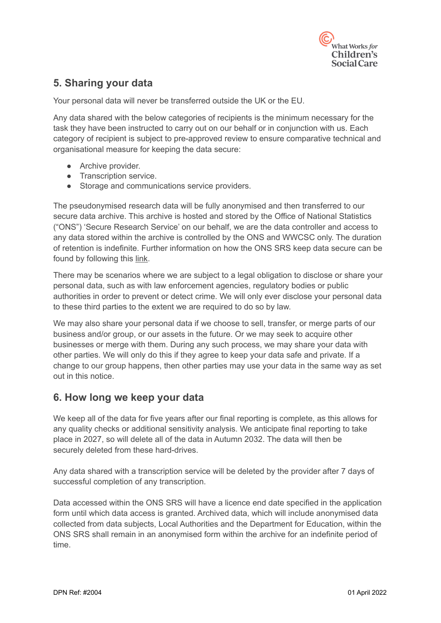

# **5. Sharing your data**

Your personal data will never be transferred outside the UK or the EU.

Any data shared with the below categories of recipients is the minimum necessary for the task they have been instructed to carry out on our behalf or in conjunction with us. Each category of recipient is subject to pre-approved review to ensure comparative technical and organisational measure for keeping the data secure:

- Archive provider.
- Transcription service.
- Storage and communications service providers.

The pseudonymised research data will be fully anonymised and then transferred to our secure data archive. This archive is hosted and stored by the Office of National Statistics ("ONS") 'Secure Research Service' on our behalf, we are the data controller and access to any data stored within the archive is controlled by the ONS and WWCSC only. The duration of retention is indefinite. Further information on how the ONS SRS keep data secure can be found by following this [link.](https://www.ons.gov.uk/aboutus/whatwedo/statistics/requestingstatistics/approvedresearcherscheme#:~:text=The%20Office%20for%20National%20Statistics,projects%20for%20the%20public%20good.&text=The%20framework%20is%20a%20set,secure%20labs%2C%20including%20the%20ONS.)

There may be scenarios where we are subject to a legal obligation to disclose or share your personal data, such as with law enforcement agencies, regulatory bodies or public authorities in order to prevent or detect crime. We will only ever disclose your personal data to these third parties to the extent we are required to do so by law.

We may also share your personal data if we choose to sell, transfer, or merge parts of our business and/or group, or our assets in the future. Or we may seek to acquire other businesses or merge with them. During any such process, we may share your data with other parties. We will only do this if they agree to keep your data safe and private. If a change to our group happens, then other parties may use your data in the same way as set out in this notice.

#### **6. How long we keep your data**

We keep all of the data for five years after our final reporting is complete, as this allows for any quality checks or additional sensitivity analysis. We anticipate final reporting to take place in 2027, so will delete all of the data in Autumn 2032. The data will then be securely deleted from these hard-drives.

Any data shared with a transcription service will be deleted by the provider after 7 days of successful completion of any transcription.

Data accessed within the ONS SRS will have a licence end date specified in the application form until which data access is granted. Archived data, which will include anonymised data collected from data subjects, Local Authorities and the Department for Education, within the ONS SRS shall remain in an anonymised form within the archive for an indefinite period of time.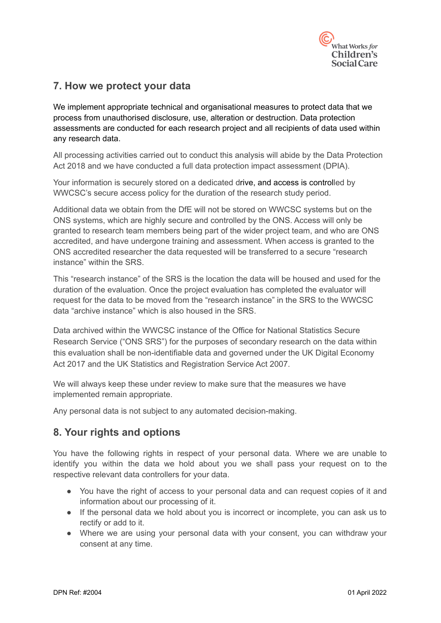

## **7. How we protect your data**

We implement appropriate technical and organisational measures to protect data that we process from unauthorised disclosure, use, alteration or destruction. Data protection assessments are conducted for each research project and all recipients of data used within any research data.

All processing activities carried out to conduct this analysis will abide by the Data Protection Act 2018 and we have conducted a full data protection impact assessment (DPIA).

Your information is securely stored on a dedicated drive, and access is controlled by WWCSC's secure access policy for the duration of the research study period.

Additional data we obtain from the DfE will not be stored on WWCSC systems but on the ONS systems, which are highly secure and controlled by the ONS. Access will only be granted to research team members being part of the wider project team, and who are ONS accredited, and have undergone training and assessment. When access is granted to the ONS accredited researcher the data requested will be transferred to a secure "research instance" within the SRS.

This "research instance" of the SRS is the location the data will be housed and used for the duration of the evaluation. Once the project evaluation has completed the evaluator will request for the data to be moved from the "research instance" in the SRS to the WWCSC data "archive instance" which is also housed in the SRS.

Data archived within the WWCSC instance of the Office for National Statistics Secure Research Service ("ONS SRS") for the purposes of secondary research on the data within this evaluation shall be non-identifiable data and governed under the UK Digital Economy Act 2017 and the UK Statistics and Registration Service Act 2007.

We will always keep these under review to make sure that the measures we have implemented remain appropriate.

Any personal data is not subject to any automated decision-making.

# **8. Your rights and options**

You have the following rights in respect of your personal data. Where we are unable to identify you within the data we hold about you we shall pass your request on to the respective relevant data controllers for your data.

- You have the right of access to your personal data and can request copies of it and information about our processing of it.
- If the personal data we hold about you is incorrect or incomplete, you can ask us to rectify or add to it.
- Where we are using your personal data with your consent, you can withdraw your consent at any time.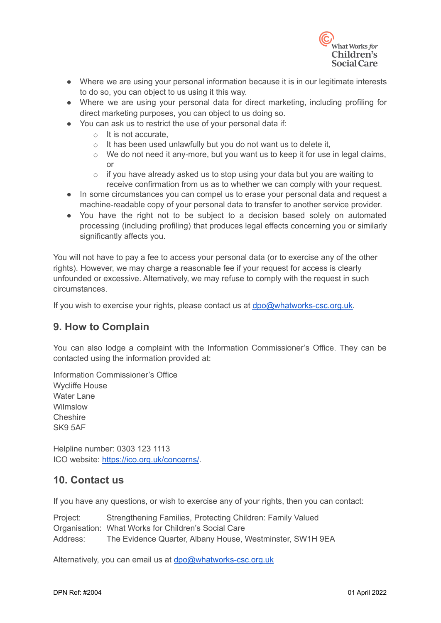

- Where we are using your personal information because it is in our legitimate interests to do so, you can object to us using it this way.
- Where we are using your personal data for direct marketing, including profiling for direct marketing purposes, you can object to us doing so.
- You can ask us to restrict the use of your personal data if:
	- o It is not accurate,
	- $\circ$  It has been used unlawfully but you do not want us to delete it,
	- o We do not need it any-more, but you want us to keep it for use in legal claims, or
	- $\circ$  if you have already asked us to stop using your data but you are waiting to receive confirmation from us as to whether we can comply with your request.
- In some circumstances you can compel us to erase your personal data and request a machine-readable copy of your personal data to transfer to another service provider.
- You have the right not to be subject to a decision based solely on automated processing (including profiling) that produces legal effects concerning you or similarly significantly affects you.

You will not have to pay a fee to access your personal data (or to exercise any of the other rights). However, we may charge a reasonable fee if your request for access is clearly unfounded or excessive. Alternatively, we may refuse to comply with the request in such circumstances.

If you wish to exercise your rights, please contact us at [dpo@whatworks-csc.org.uk.](mailto:dpo@whatworks-csc.org.uk)

#### **9. How to Complain**

You can also lodge a complaint with the Information Commissioner's Office. They can be contacted using the information provided at:

Information Commissioner's Office Wycliffe House Water Lane Wilmslow **Cheshire** SK9 5AF

Helpline number: 0303 123 1113 ICO website: <https://ico.org.uk/concerns/>.

#### **10. Contact us**

If you have any questions, or wish to exercise any of your rights, then you can contact:

Project: Strengthening Families, Protecting Children: Family Valued Organisation: What Works for Children's Social Care Address: The Evidence Quarter, Albany House, Westminster, SW1H 9EA

Alternatively, you can email us at [dpo@whatworks-csc.org.uk](mailto:dpo@whatworks-csc.org.uk)